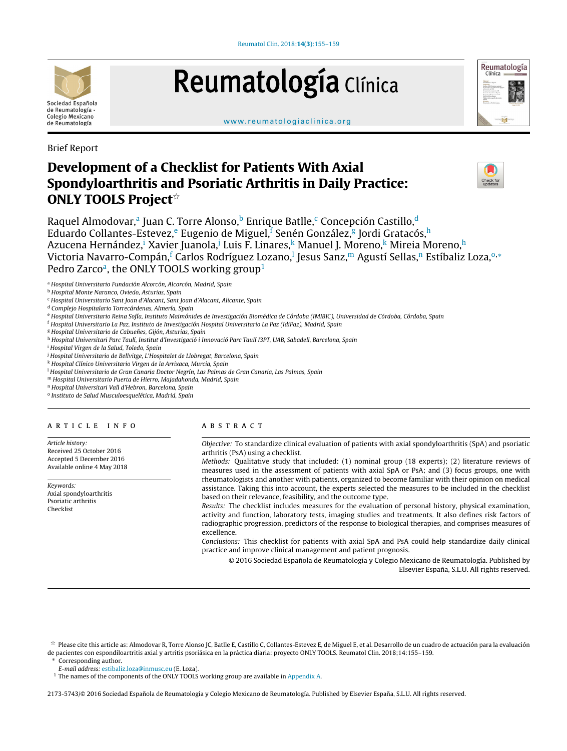

# Reumatología Clínica



#### <www.reumatologiaclinica.org>

Brief Report

# Development of a Checklist for Patients With Axial Spondyloarthritis and Psoriatic Arthritis in Daily Practice: ONLY TOOLS Project<sup>\*</sup>



Raquel Almodovar,ª Juan C. Torre Alonso,<sup>b</sup> Enrique Batlle,<sup>c</sup> Concepción Castillo,<sup>d</sup> Eduardo Collantes-Estevez,<sup>e</sup> Eugenio de Miguel,<sup>f</sup> Senén González,<sup>g</sup> Jordi Gratacós,<sup>h</sup> Azucena Hernández,<sup>i</sup> Xavier Juanola,<sup>j</sup> Luis F. Linares,<sup>k</sup> Manuel J. Moreno,k Mireia Moreno,h Victoria Navarro-Compán,<sup>f</sup> Carlos Rodríguez Lozano,<sup>¦</sup> Jesus Sanz,<sup>m</sup> Agustí Sellas,<sup>n</sup> Estíbaliz Loza,°,∗ Pedro Zarco<sup>a</sup>, the ONLY TOOLS working group<sup>1</sup>

<sup>a</sup> Hospital Universitario Fundación Alcorcón, Alcorcón, Madrid, Spain

<sup>b</sup> Hospital Monte Naranco, Oviedo, Asturias, Spain

<sup>c</sup> Hospital Universitario Sant Joan d'Alacant, Sant Joan d'Alacant, Alicante, Spain

<sup>d</sup> Complejo Hospitalario Torrecárdenas, Almería, Spain e Hospital Universitario Reina Sofía, Instituto Maimónides de Investigación Biomédica de Córdoba (IMIBIC), Universidad de Córdoba, Córdoba, Spain

<sup>f</sup> Hospital Universitario La Paz, Instituto de Investigación Hospital Universitario La Paz (IdiPaz), Madrid, Spain

<sup>g</sup> Hospital Universitario de Cabueñes, Gijón, Asturias, Spain

h Hospital Universitari Parc Taulí, Institut d'Investigació i Innovació Parc Taulí I3PT, UAB, Sabadell, Barcelona, Spain

<sup>i</sup> Hospital Virgen de la Salud, Toledo, Spain

<sup>j</sup> Hospital Universitario de Bellvitge, L'Hospitalet de Llobregat, Barcelona, Spain

<sup>k</sup> Hospital Clínico Universitario Virgen de la Arrixaca, Murcia, Spain

<sup>1</sup> Hospital Universitario de Gran Canaria Doctor Negrín, Las Palmas de Gran Canaria, Las Palmas, Spain

<sup>m</sup> Hospital Universitario Puerta de Hierro, Majadahonda, Madrid, Spain

<sup>n</sup> Hospital Universitari Vall d'Hebron, Barcelona, Spain

<sup>o</sup> Instituto de Salud Musculoesquelética, Madrid, Spain

#### ARTICLE INFO

Article history: Received 25 October 2016 Accepted 5 December 2016 Available online 4 May 2018

Keywords: Axial spondyloarthritis Psoriatic arthritis Checklist

#### A B S T R A C T

Objective: To standardize clinical evaluation of patients with axial spondyloarthritis (SpA) and psoriatic arthritis (PsA) using a checklist.

Methods: Qualitative study that included: (1) nominal group (18 experts); (2) literature reviews of measures used in the assessment of patients with axial SpA or PsA; and (3) focus groups, one with rheumatologists and another with patients, organized to become familiar with their opinion on medical assistance. Taking this into account, the experts selected the measures to be included in the checklist based on their relevance, feasibility, and the outcome type.

Results: The checklist includes measures for the evaluation of personal history, physical examination, activity and function, laboratory tests, imaging studies and treatments. It also defines risk factors of radiographic progression, predictors of the response to biological therapies, and comprises measures of excellence.

Conclusions: This checklist for patients with axial SpA and PsA could help standardize daily clinical practice and improve clinical management and patient prognosis.

© 2016 Sociedad Española de Reumatología y Colegio Mexicano de Reumatología. Published by Elsevier España, S.L.U. All rights reserved.

 $^\star$  Please cite this article as: Almodovar R, Torre Alonso JC, Batlle E, Castillo C, Collantes-Estevez E, de Miguel E, et al. Desarrollo de un cuadro de actuación para la evaluación de pacientes con espondiloartritis axial y artritis psoriásica en la práctica diaria: proyecto ONLY TOOLS. Reumatol Clin. 2018;14:155–159.

Corresponding author.

E-mail address: [estibaliz.loza@inmusc.eu](mailto:estibaliz.loza@inmusc.eu) (E. Loza).

<sup>1</sup> The names of the components of the ONLY TOOLS working group are available in [Appendix](#page-4-0) A.

2173-5743/© 2016 Sociedad Española de Reumatología y Colegio Mexicano de Reumatología. Published by Elsevier España, S.L.U. All rights reserved.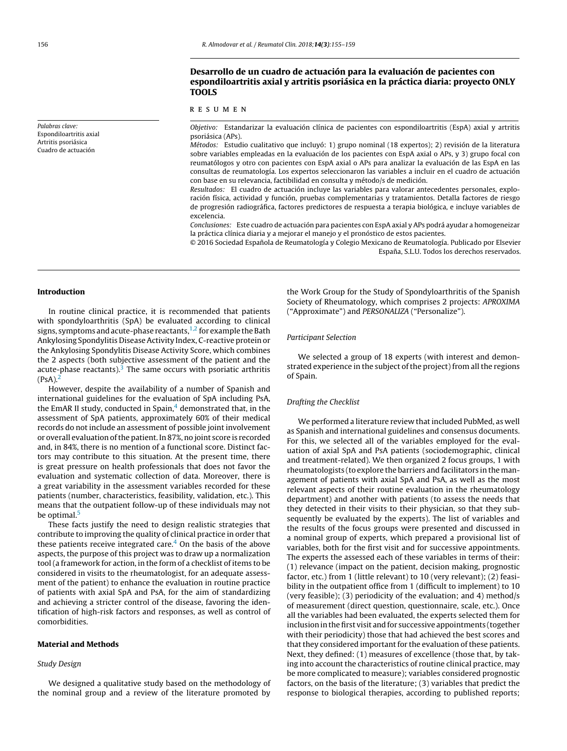Palabras clave: Espondiloartritis axial Artritis psoriásica Cuadro de actuación

## Desarrollo de un cuadro de actuación para la evaluación de pacientes con espondiloartritis axial y artritis psoriásica en la práctica diaria: proyecto ONLY **TOOLS**

r e s u m e n

Objetivo: Estandarizar la evaluación clínica de pacientes con espondiloartritis (EspA) axial y artritis psoriásica (APs).

Métodos: Estudio cualitativo que incluyó: 1) grupo nominal (18 expertos); 2) revisión de la literatura sobre variables empleadas en la evaluación de los pacientes con EspA axial o APs, y 3) grupo focal con reumatólogos y otro con pacientes con EspA axial o APs para analizar la evaluación de las EspA en las consultas de reumatología. Los expertos seleccionaron las variables a incluir en el cuadro de actuación con base en su relevancia, factibilidad en consulta y método/s de medición.

Resultados: El cuadro de actuación incluye las variables para valorar antecedentes personales, exploración física, actividad y función, pruebas complementarias y tratamientos. Detalla factores de riesgo de progresión radiográfica, factores predictores de respuesta a terapia biológica, e incluye variables de excelencia.

Conclusiones: Este cuadro de actuación para pacientes con EspA axial y APs podrá ayudar a homogeneizar la práctica clínica diaria y a mejorar el manejo y el pronóstico de estos pacientes.

© 2016 Sociedad Española de Reumatología y Colegio Mexicano de Reumatología. Publicado por Elsevier España, S.L.U. Todos los derechos reservados.

#### Introduction

In routine clinical practice, it is recommended that patients with spondyloarthritis (SpA) be evaluated according to clinical signs, symptoms and acute-phase reactants,<sup>[1,2](#page-4-0)</sup> for example the Bath Ankylosing Spondylitis Disease Activity Index, C-reactive protein or the Ankylosing Spondylitis Disease Activity Score, which combines the 2 aspects (both subjective assessment of the patient and the acute-phase reactants). $3$  The same occurs with psoriatic arthritis  $(PsA)<sup>2</sup>$  $(PsA)<sup>2</sup>$  $(PsA)<sup>2</sup>$ 

However, despite the availability of a number of Spanish and international guidelines for the evaluation of SpA including PsA, the EmAR II stu[d](#page-4-0)y, conducted in Spain, $4$  demonstrated that, in the assessment of SpA patients, approximately 60% of their medical records do not include an assessment of possible joint involvement or overall evaluation ofthe patient. In 87%, no joint score is recorded and, in 84%, there is no mention of a functional score. Distinct factors may contribute to this situation. At the present time, there is great pressure on health professionals that does not favor the evaluation and systematic collection of data. Moreover, there is a great variability in the assessment variables recorded for these patients (number, characteristics, feasibility, validation, etc.). This means that the outpatient follow-up of these individuals may not be optimal.<sup>[5](#page-4-0)</sup>

These facts justify the need to design realistic strategies that contribute to improving the quality of clinical practice in order that these patients receive integrated care. $4$  On the basis of the above aspects, the purpose of this project was to draw up a normalization tool(a framework for action, in the form of a checklist of items to be considered in visits to the rheumatologist, for an adequate assessment of the patient) to enhance the evaluation in routine practice of patients with axial SpA and PsA, for the aim of standardizing and achieving a stricter control of the disease, favoring the identification of high-risk factors and responses, as well as control of comorbidities.

#### Material and Methods

#### Study Design

We designed a qualitative study based on the methodology of the nominal group and a review of the literature promoted by

the Work Group for the Study of Spondyloarthritis of the Spanish Society of Rheumatology, which comprises 2 projects: APROXIMA ("Approximate") and PERSONALIZA ("Personalize").

#### Participant Selection

We selected a group of 18 experts (with interest and demonstrated experience in the subject of the project) from all the regions of Spain.

#### Drafting the Checklist

We performed a literature review that included PubMed, as well as Spanish and international guidelines and consensus documents. For this, we selected all of the variables employed for the evaluation of axial SpA and PsA patients (sociodemographic, clinical and treatment-related). We then organized 2 focus groups, 1 with rheumatologists (to explore the barriers and facilitators in the management of patients with axial SpA and PsA, as well as the most relevant aspects of their routine evaluation in the rheumatology department) and another with patients (to assess the needs that they detected in their visits to their physician, so that they subsequently be evaluated by the experts). The list of variables and the results of the focus groups were presented and discussed in a nominal group of experts, which prepared a provisional list of variables, both for the first visit and for successive appointments. The experts the assessed each of these variables in terms of their: (1) relevance (impact on the patient, decision making, prognostic factor, etc.) from 1 (little relevant) to 10 (very relevant); (2) feasibility in the outpatient office from 1 (difficult to implement) to 10 (very feasible); (3) periodicity of the evaluation; and 4) method/s of measurement (direct question, questionnaire, scale, etc.). Once all the variables had been evaluated, the experts selected them for inclusion in the first visit and for successive appointments (together with their periodicity) those that had achieved the best scores and that they considered important for the evaluation of these patients. Next, they defined: (1) measures of excellence (those that, by taking into account the characteristics of routine clinical practice, may be more complicated to measure); variables considered prognostic factors, on the basis of the literature; (3) variables that predict the response to biological therapies, according to published reports;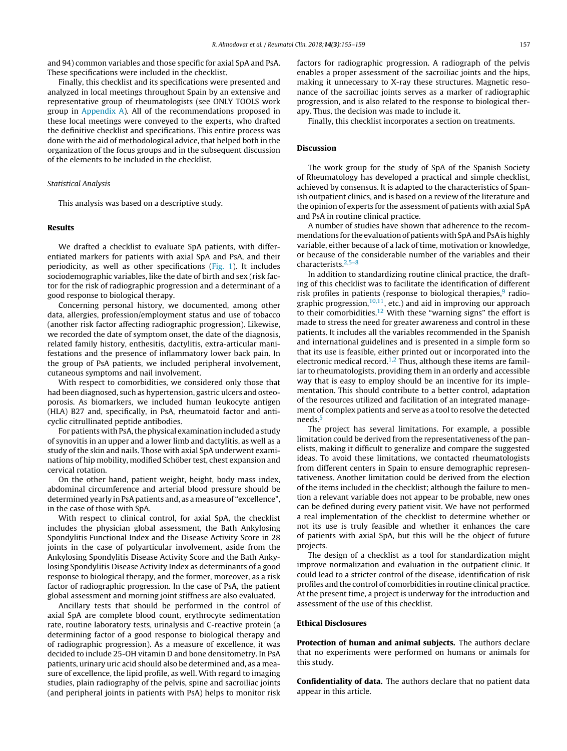and 94) common variables and those specific for axial SpA and PsA. These specifications were included in the checklist.

Finally, this checklist and its specifications were presented and analyzed in local meetings throughout Spain by an extensive and representative group of rheumatologists (see ONLY TOOLS work group in [Appendix](#page-4-0) A). All of the recommendations proposed in these local meetings were conveyed to the experts, who drafted the definitive checklist and specifications. This entire process was done with the aid of methodological advice, that helped both in the organization of the focus groups and in the subsequent discussion of the elements to be included in the checklist.

#### Statistical Analysis

This analysis was based on a descriptive study.

#### Results

We drafted a checklist to evaluate SpA patients, with differentiated markers for patients with axial SpA and PsA, and their periodicity, as well as other specifications ([Fig.](#page-3-0) 1). It includes sociodemographic variables, like the date of birth and sex (risk factor for the risk of radiographic progression and a determinant of a good response to biological therapy.

Concerning personal history, we documented, among other data, allergies, profession/employment status and use of tobacco (another risk factor affecting radiographic progression). Likewise, we recorded the date of symptom onset, the date of the diagnosis, related family history, enthesitis, dactylitis, extra-articular manifestations and the presence of inflammatory lower back pain. In the group of PsA patients, we included peripheral involvement, cutaneous symptoms and nail involvement.

With respect to comorbidities, we considered only those that had been diagnosed, such as hypertension, gastric ulcers and osteoporosis. As biomarkers, we included human leukocyte antigen (HLA) B27 and, specifically, in PsA, rheumatoid factor and anticyclic citrullinated peptide antibodies.

For patients with PsA, the physical examination included a study of synovitis in an upper and a lower limb and dactylitis, as well as a study of the skin and nails. Those with axial SpA underwent examinations of hip mobility, modified Schöber test, chest expansion and cervical rotation.

On the other hand, patient weight, height, body mass index, abdominal circumference and arterial blood pressure should be determined yearly in PsApatients and, as a measure of "excellence", in the case of those with SpA.

With respect to clinical control, for axial SpA, the checklist includes the physician global assessment, the Bath Ankylosing Spondylitis Functional Index and the Disease Activity Score in 28 joints in the case of polyarticular involvement, aside from the Ankylosing Spondylitis Disease Activity Score and the Bath Ankylosing Spondylitis Disease Activity Index as determinants of a good response to biological therapy, and the former, moreover, as a risk factor of radiographic progression. In the case of PsA, the patient global assessment and morning joint stiffness are also evaluated.

Ancillary tests that should be performed in the control of axial SpA are complete blood count, erythrocyte sedimentation rate, routine laboratory tests, urinalysis and C-reactive protein (a determining factor of a good response to biological therapy and of radiographic progression). As a measure of excellence, it was decided to include 25-OH vitamin D and bone densitometry. In PsA patients, urinary uric acid should also be determined and, as a measure of excellence, the lipid profile, as well. With regard to imaging studies, plain radiography of the pelvis, spine and sacroiliac joints (and peripheral joints in patients with PsA) helps to monitor risk factors for radiographic progression. A radiograph of the pelvis enables a proper assessment of the sacroiliac joints and the hips, making it unnecessary to X-ray these structures. Magnetic resonance of the sacroiliac joints serves as a marker of radiographic progression, and is also related to the response to biological therapy. Thus, the decision was made to include it.

Finally, this checklist incorporates a section on treatments.

#### Discussion

The work group for the study of SpA of the Spanish Society of Rheumatology has developed a practical and simple checklist, achieved by consensus. It is adapted to the characteristics of Spanish outpatient clinics, and is based on a review of the literature and the opinion of experts for the assessment of patients with axial SpA and PsA in routine clinical practice.

A number of studies have shown that adherence to the recommendations for the evaluation of patients with SpA and PsA is highly variable, either because of a lack of time, motivation or knowledge, or because of the considerable number of the variables and their characterists.[2,5–8](#page-4-0)

In addition to standardizing routine clinical practice, the drafting of this checklist was to facilitate the identification of different risk profiles in patients (response to biological therapies, <sup>[9](#page-4-0)</sup> radiographic progression, <sup>10, 11</sup>, etc.) and aid in improving our approach to their comorbidities.[12](#page-4-0) With these "warning signs" the effort is made to stress the need for greater awareness and control in these patients. It includes all the variables recommended in the Spanish and international guidelines and is presented in a simple form so that its use is feasible, either printed out or incorporated into the electronic medical record.<sup>[1,2](#page-4-0)</sup> Thus, although these items are familiar to rheumatologists, providing them in an orderly and accessible way that is easy to employ should be an incentive for its implementation. This should contribute to a better control, adaptation of the resources utilized and facilitation of an integrated management of complex patients and serve as a tool to resolve the detected needs.<sup>[5](#page-4-0)</sup>

The project has several limitations. For example, a possible limitation could be derived from the representativeness of the panelists, making it difficult to generalize and compare the suggested ideas. To avoid these limitations, we contacted rheumatologists from different centers in Spain to ensure demographic representativeness. Another limitation could be derived from the election of the items included in the checklist; although the failure to mention a relevant variable does not appear to be probable, new ones can be defined during every patient visit. We have not performed a real implementation of the checklist to determine whether or not its use is truly feasible and whether it enhances the care of patients with axial SpA, but this will be the object of future projects.

The design of a checklist as a tool for standardization might improve normalization and evaluation in the outpatient clinic. It could lead to a stricter control of the disease, identification of risk profiles and the control of comorbidities in routine clinical practice. At the present time, a project is underway for the introduction and assessment of the use of this checklist.

### Ethical Disclosures

Protection of human and animal subjects. The authors declare that no experiments were performed on humans or animals for this study.

Confidentiality of data. The authors declare that no patient data appear in this article.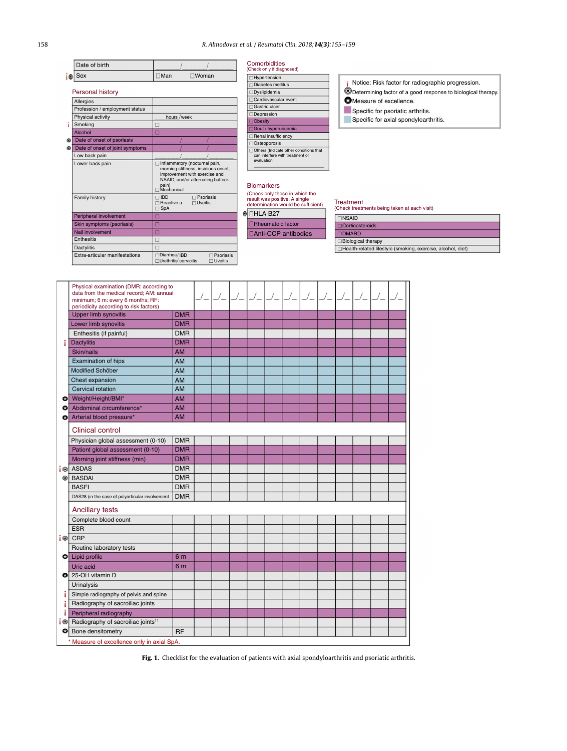<span id="page-3-0"></span>

|   | Date of birth                   |                                                                                                                                                                   |
|---|---------------------------------|-------------------------------------------------------------------------------------------------------------------------------------------------------------------|
|   | i o Sex                         | $\square$ Man<br>$\square$ Woman                                                                                                                                  |
|   |                                 |                                                                                                                                                                   |
|   | Personal history                |                                                                                                                                                                   |
|   | Allergies                       |                                                                                                                                                                   |
|   | Profession / employment status  |                                                                                                                                                                   |
|   | Physical activity               | hours/week                                                                                                                                                        |
|   | Smoking                         |                                                                                                                                                                   |
|   | Alcohol                         |                                                                                                                                                                   |
| ◉ | Date of onset of psoriasis      |                                                                                                                                                                   |
| 0 | Date of onset of joint symptoms |                                                                                                                                                                   |
|   | Low back pain                   |                                                                                                                                                                   |
|   | Lower back pain                 | Inflammatory (nocturnal pain,<br>morning stiffness, insidious onset,<br>improvement with exercise and<br>NSAID, and/or alternating buttock<br>pain)<br>Mechanical |
|   | Family history                  | <b>Psoriasis</b><br><b>IBD</b><br>Reactive a.<br>$\Box$ Uveitis<br>SpA                                                                                            |
|   | Peripheral involvement          | ⊓                                                                                                                                                                 |
|   | Skin symptoms (psoriasis)       |                                                                                                                                                                   |
|   | Nail involvement                |                                                                                                                                                                   |
|   | Enthesitis                      |                                                                                                                                                                   |
|   | Dactylitis                      |                                                                                                                                                                   |
|   | Extra-articular manifestations  | Diarrhea   IBD<br>Psoriasis<br>$\Box$ Urethritis cervicitis<br><b>Uveitis</b>                                                                                     |

# Comorbidities (Check only if diagnosed)



#### Biomarkers

(Check only those in which the result was positive. A single



## Specific for psoriatic arthritis.

Notice: Risk factor for radiographic progression.

 $\hat{\mathbf{O}}$  Determining factor of a good response to biological therapy.

Specific for axial spondyloarthritis.

 $\bullet$  Measure of excellence.

# reatin was positive. A single<br>determination would be sufficient) (Check treatments being taken at each visit)

 $\n **INSAID**\n$ 

| $\Box$ Corticosteroids                                      |
|-------------------------------------------------------------|
| <b>IDMARD</b>                                               |
| $\Box$ Biological therapy                                   |
| Health-related lifestyle (smoking, exercise, alcohol, diet) |

|                | Physical examination (DMR: according to<br>data from the medical record; AM: annual<br>minimum; 6 m: every 6 months; RF:<br>periodicity according to risk factors) |                |  |  |  |  |  |  |  |  |  |  |  |  |
|----------------|--------------------------------------------------------------------------------------------------------------------------------------------------------------------|----------------|--|--|--|--|--|--|--|--|--|--|--|--|
|                | <b>Upper limb synovitis</b>                                                                                                                                        | <b>DMR</b>     |  |  |  |  |  |  |  |  |  |  |  |  |
|                | Lower limb synovitis                                                                                                                                               | <b>DMR</b>     |  |  |  |  |  |  |  |  |  |  |  |  |
|                | Enthesitis (if painful)                                                                                                                                            | <b>DMR</b>     |  |  |  |  |  |  |  |  |  |  |  |  |
| î              | <b>Dactylitis</b>                                                                                                                                                  | <b>DMR</b>     |  |  |  |  |  |  |  |  |  |  |  |  |
|                | Skin/nails                                                                                                                                                         | AM             |  |  |  |  |  |  |  |  |  |  |  |  |
|                | <b>Examination of hips</b>                                                                                                                                         | <b>AM</b>      |  |  |  |  |  |  |  |  |  |  |  |  |
|                | <b>Modified Schöber</b>                                                                                                                                            | <b>AM</b>      |  |  |  |  |  |  |  |  |  |  |  |  |
|                | <b>Chest expansion</b>                                                                                                                                             | <b>AM</b>      |  |  |  |  |  |  |  |  |  |  |  |  |
|                | Cervical rotation                                                                                                                                                  | <b>AM</b>      |  |  |  |  |  |  |  |  |  |  |  |  |
| O              | Weight/Height/BMI*                                                                                                                                                 | <b>AM</b>      |  |  |  |  |  |  |  |  |  |  |  |  |
| o              | Abdominal circumference*                                                                                                                                           | <b>AM</b>      |  |  |  |  |  |  |  |  |  |  |  |  |
| O              | Arterial blood pressure*                                                                                                                                           | <b>AM</b>      |  |  |  |  |  |  |  |  |  |  |  |  |
|                | <b>Clinical control</b>                                                                                                                                            |                |  |  |  |  |  |  |  |  |  |  |  |  |
|                | Physician global assessment (0-10)                                                                                                                                 | <b>DMR</b>     |  |  |  |  |  |  |  |  |  |  |  |  |
|                | Patient global assessment (0-10)                                                                                                                                   | <b>DMR</b>     |  |  |  |  |  |  |  |  |  |  |  |  |
|                | Morning joint stiffness (min)                                                                                                                                      | <b>DMR</b>     |  |  |  |  |  |  |  |  |  |  |  |  |
|                | i ◎ ASDAS                                                                                                                                                          | <b>DMR</b>     |  |  |  |  |  |  |  |  |  |  |  |  |
| 0              | <b>BASDAI</b>                                                                                                                                                      | <b>DMR</b>     |  |  |  |  |  |  |  |  |  |  |  |  |
|                | <b>BASFI</b>                                                                                                                                                       | <b>DMR</b>     |  |  |  |  |  |  |  |  |  |  |  |  |
|                | DAS28 (in the case of polyarticular involvement                                                                                                                    | <b>DMR</b>     |  |  |  |  |  |  |  |  |  |  |  |  |
|                | <b>Ancillary tests</b>                                                                                                                                             |                |  |  |  |  |  |  |  |  |  |  |  |  |
|                | Complete blood count                                                                                                                                               |                |  |  |  |  |  |  |  |  |  |  |  |  |
|                | <b>ESR</b>                                                                                                                                                         |                |  |  |  |  |  |  |  |  |  |  |  |  |
|                | i◎ CRP                                                                                                                                                             |                |  |  |  |  |  |  |  |  |  |  |  |  |
|                | Routine laboratory tests                                                                                                                                           |                |  |  |  |  |  |  |  |  |  |  |  |  |
|                | C Lipid profile                                                                                                                                                    | 6 <sub>m</sub> |  |  |  |  |  |  |  |  |  |  |  |  |
|                | Uric acid                                                                                                                                                          | 6 m            |  |  |  |  |  |  |  |  |  |  |  |  |
| O              | 25-OH vitamin D                                                                                                                                                    |                |  |  |  |  |  |  |  |  |  |  |  |  |
|                | Urinalysis                                                                                                                                                         |                |  |  |  |  |  |  |  |  |  |  |  |  |
| i              | Simple radiography of pelvis and spine                                                                                                                             |                |  |  |  |  |  |  |  |  |  |  |  |  |
| i              | Radiography of sacroiliac joints                                                                                                                                   |                |  |  |  |  |  |  |  |  |  |  |  |  |
| i              | Peripheral radiography                                                                                                                                             |                |  |  |  |  |  |  |  |  |  |  |  |  |
| $\overline{1}$ | Radiography of sacroiliac joints <sup>11</sup>                                                                                                                     |                |  |  |  |  |  |  |  |  |  |  |  |  |
| O              | Bone densitometry                                                                                                                                                  | <b>RF</b>      |  |  |  |  |  |  |  |  |  |  |  |  |
|                | * Measure of excellence only in axial SpA.                                                                                                                         |                |  |  |  |  |  |  |  |  |  |  |  |  |

Fig. 1. Checklist for the evaluation of patients with axial spondyloarthritis and psoriatic arthritis.